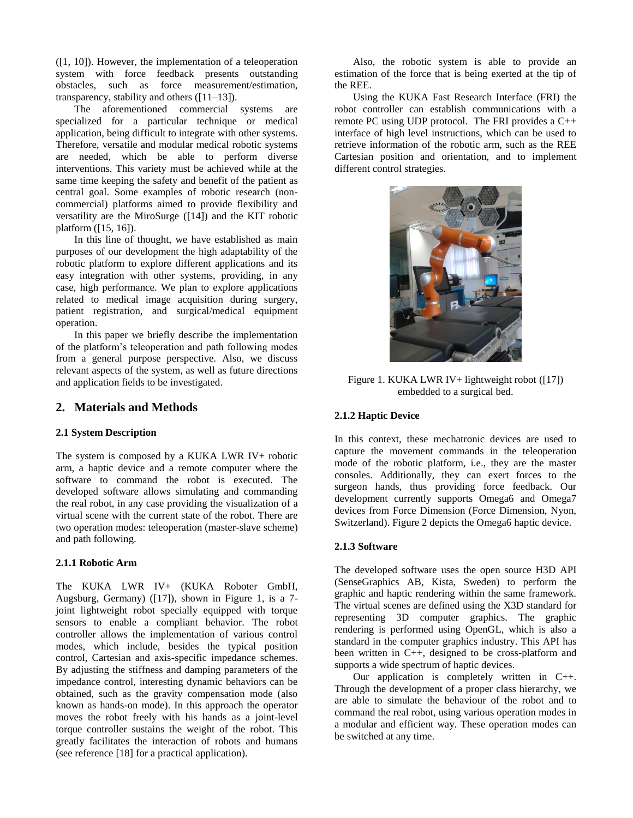([1, 10]). However, the implementation of a teleoperation system with force feedback presents outstanding obstacles, such as force measurement/estimation, transparency, stability and others ([11–13]).

 The aforementioned commercial systems are specialized for a particular technique or medical application, being difficult to integrate with other systems. Therefore, versatile and modular medical robotic systems are needed, which be able to perform diverse interventions. This variety must be achieved while at the same time keeping the safety and benefit of the patient as central goal. Some examples of robotic research (noncommercial) platforms aimed to provide flexibility and versatility are the MiroSurge ([14]) and the KIT robotic platform ([15, 16]).

 In this line of thought, we have established as main purposes of our development the high adaptability of the robotic platform to explore different applications and its easy integration with other systems, providing, in any case, high performance. We plan to explore applications related to medical image acquisition during surgery, patient registration, and surgical/medical equipment operation.

 In this paper we briefly describe the implementation of the platform's teleoperation and path following modes from a general purpose perspective. Also, we discuss relevant aspects of the system, as well as future directions and application fields to be investigated.

# **2. Materials and Methods**

# **2.1 System Description**

The system is composed by a KUKA LWR IV+ robotic arm, a haptic device and a remote computer where the software to command the robot is executed. The developed software allows simulating and commanding the real robot, in any case providing the visualization of a virtual scene with the current state of the robot. There are two operation modes: teleoperation (master-slave scheme) and path following.

# **2.1.1 Robotic Arm**

The KUKA LWR IV+ (KUKA Roboter GmbH, Augsburg, Germany) ([17]), shown in Figure 1, is a 7 joint lightweight robot specially equipped with torque sensors to enable a compliant behavior. The robot controller allows the implementation of various control modes, which include, besides the typical position control, Cartesian and axis-specific impedance schemes. By adjusting the stiffness and damping parameters of the impedance control, interesting dynamic behaviors can be obtained, such as the gravity compensation mode (also known as hands-on mode). In this approach the operator moves the robot freely with his hands as a joint-level torque controller sustains the weight of the robot. This greatly facilitates the interaction of robots and humans (see reference [18] for a practical application).

 Also, the robotic system is able to provide an estimation of the force that is being exerted at the tip of the REE.

 Using the KUKA Fast Research Interface (FRI) the robot controller can establish communications with a remote PC using UDP protocol. The FRI provides a C++ interface of high level instructions, which can be used to retrieve information of the robotic arm, such as the REE Cartesian position and orientation, and to implement different control strategies.



Figure 1. KUKA LWR IV+ lightweight robot ([17]) embedded to a surgical bed.

# **2.1.2 Haptic Device**

In this context, these mechatronic devices are used to capture the movement commands in the teleoperation mode of the robotic platform, i.e., they are the master consoles. Additionally, they can exert forces to the surgeon hands, thus providing force feedback. Our development currently supports Omega6 and Omega7 devices from Force Dimension (Force Dimension, Nyon, Switzerland). Figure 2 depicts the Omega6 haptic device.

### **2.1.3 Software**

The developed software uses the open source H3D API (SenseGraphics AB, Kista, Sweden) to perform the graphic and haptic rendering within the same framework. The virtual scenes are defined using the X3D standard for representing 3D computer graphics. The graphic rendering is performed using OpenGL, which is also a standard in the computer graphics industry. This API has been written in C++, designed to be cross-platform and supports a wide spectrum of haptic devices.

 Our application is completely written in C++. Through the development of a proper class hierarchy, we are able to simulate the behaviour of the robot and to command the real robot, using various operation modes in a modular and efficient way. These operation modes can be switched at any time.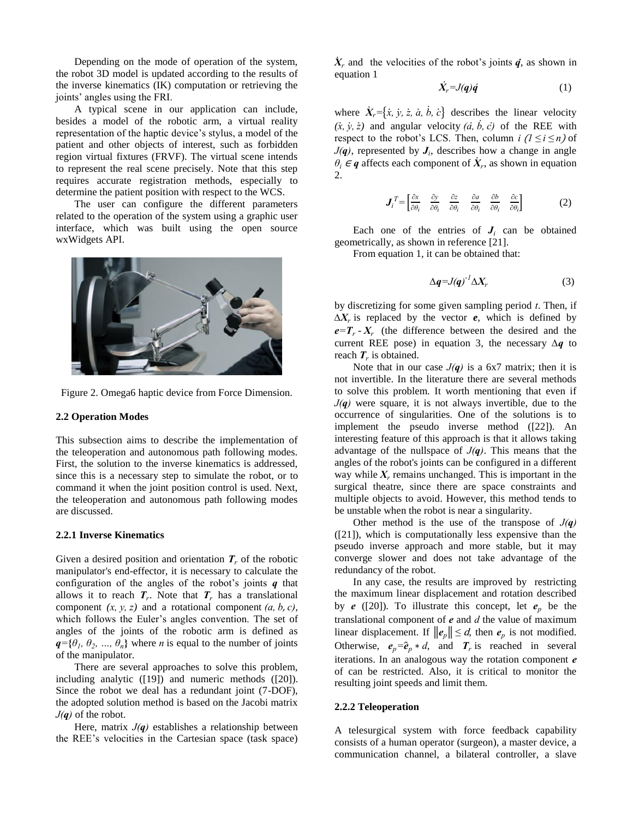Depending on the mode of operation of the system, the robot 3D model is updated according to the results of the inverse kinematics (IK) computation or retrieving the joints' angles using the FRI.

 A typical scene in our application can include, besides a model of the robotic arm, a virtual reality representation of the haptic device's stylus, a model of the patient and other objects of interest, such as forbidden region virtual fixtures (FRVF). The virtual scene intends to represent the real scene precisely. Note that this step requires accurate registration methods, especially to determine the patient position with respect to the WCS.

 The user can configure the different parameters related to the operation of the system using a graphic user interface, which was built using the open source wxWidgets API.



Figure 2. Omega6 haptic device from Force Dimension.

#### **2.2 Operation Modes**

This subsection aims to describe the implementation of the teleoperation and autonomous path following modes. First, the solution to the inverse kinematics is addressed, since this is a necessary step to simulate the robot, or to command it when the joint position control is used. Next, the teleoperation and autonomous path following modes are discussed.

#### **2.2.1 Inverse Kinematics**

Given a desired position and orientation  $T_r$  of the robotic manipulator's end-effector, it is necessary to calculate the configuration of the angles of the robot's joints  $q$  that allows it to reach  $T_r$ . Note that  $T_r$  has a translational component  $(x, y, z)$  and a rotational component  $(a, b, c)$ , which follows the Euler's angles convention. The set of angles of the joints of the robotic arm is defined as  $q = \{\theta_1, \theta_2, ..., \theta_n\}$  where *n* is equal to the number of joints of the manipulator.

 There are several approaches to solve this problem, including analytic ([19]) and numeric methods ([20]). Since the robot we deal has a redundant joint (7-DOF), the adopted solution method is based on the Jacobi matrix  $J(q)$  of the robot.

Here, matrix  $J(q)$  establishes a relationship between the REE's velocities in the Cartesian space (task space)

 $\dot{X}_r$  and the velocities of the robot's joints  $\dot{q}$ , as shown in equation 1

$$
\dot{X}_r = J(q)\dot{q} \tag{1}
$$

where  $\dot{X}_r = {\dot{x}, \dot{y}, \dot{z}, \dot{a}, \dot{b}, \dot{c}}$  describes the linear velocity  $(x, y, z)$  and angular velocity  $(\dot{a}, \dot{b}, \dot{c})$  of the REE with respect to the robot's LCS. Then, column  $i$   $(l \le i \le n)$  of  $J(q)$ , represented by  $J_i$ , describes how a change in angle  $\theta_i \in \mathbf{q}$  affects each component of  $\dot{X}_r$ , as shown in equation 2.

$$
\boldsymbol{J}_i^T = \begin{bmatrix} \frac{\partial x}{\partial \theta_i} & \frac{\partial y}{\partial \theta_i} & \frac{\partial z}{\partial \theta_i} & \frac{\partial a}{\partial \theta_i} & \frac{\partial b}{\partial \theta_i} & \frac{\partial c}{\partial \theta_i} \end{bmatrix} \tag{2}
$$

Each one of the entries of  $J_i$  can be obtained geometrically, as shown in reference [21].

From equation 1, it can be obtained that:

$$
\Delta q = J(q)^{-1} \Delta X_r \tag{3}
$$

by discretizing for some given sampling period  $t$ . Then, if  $\Delta X_r$  is replaced by the vector *e*, which is defined by  $e = T_r - X_r$  (the difference between the desired and the current REE pose) in equation 3, the necessary  $\Delta q$  to reach  $T_r$  is obtained.

Note that in our case  $J(q)$  is a 6x7 matrix; then it is not invertible. In the literature there are several methods to solve this problem. It worth mentioning that even if  $J(q)$  were square, it is not always invertible, due to the occurrence of singularities. One of the solutions is to implement the pseudo inverse method ([22]). An interesting feature of this approach is that it allows taking advantage of the nullspace of  $J(q)$ . This means that the angles of the robot's joints can be configured in a different way while  $X_r$  remains unchanged. This is important in the surgical theatre, since there are space constraints and multiple objects to avoid. However, this method tends to be unstable when the robot is near a singularity.

Other method is the use of the transpose of  $J(q)$ ([21]), which is computationally less expensive than the pseudo inverse approach and more stable, but it may converge slower and does not take advantage of the redundancy of the robot.

 In any case, the results are improved by restricting the maximum linear displacement and rotation described by  $e$  ([20]). To illustrate this concept, let  $e_p$  be the translational component of  $e$  and  $d$  the value of maximum linear displacement. If  $||e_n|| \le d$ , then  $e_n$  is not modified. Otherwise,  $e_p = \hat{e}_p * d$ , and  $T_r$  is reached in several iterations. In an analogous way the rotation component  $e$ of can be restricted. Also, it is critical to monitor the resulting joint speeds and limit them.

#### **2.2.2 Teleoperation**

A telesurgical system with force feedback capability consists of a human operator (surgeon), a master device, a communication channel, a bilateral controller, a slave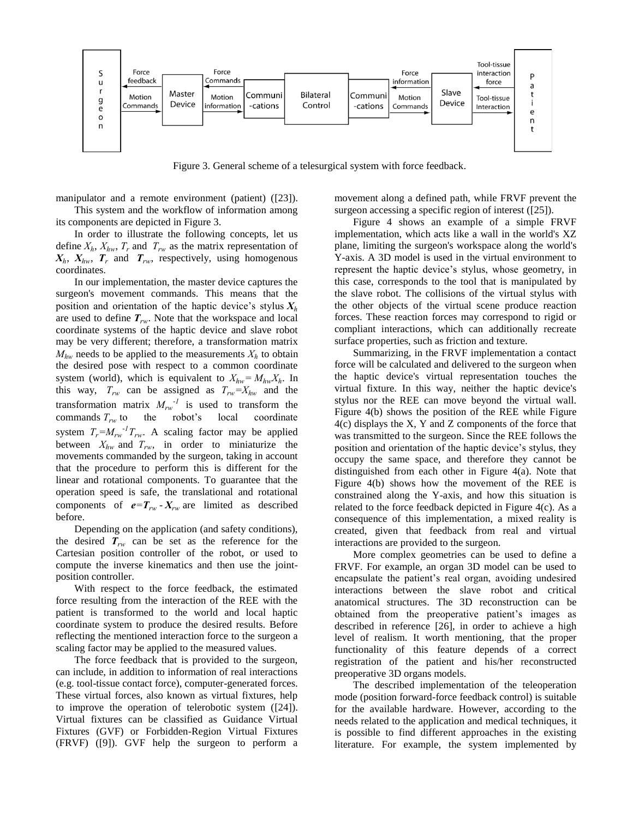

Figure 3. General scheme of a telesurgical system with force feedback.

manipulator and a remote environment (patient) ([23]).

 This system and the workflow of information among its components are depicted in Figure 3.

 In order to illustrate the following concepts, let us define  $X_h$ ,  $X_{hw}$ ,  $T_r$  and  $T_{rw}$  as the matrix representation of  $X_h$ ,  $X_{hw}$ ,  $T_r$  and  $T_{rw}$ , respectively, using homogenous coordinates.

 In our implementation, the master device captures the surgeon's movement commands. This means that the position and orientation of the haptic device's stylus  $X_h$ are used to define  $T_{rw}$ . Note that the workspace and local coordinate systems of the haptic device and slave robot may be very different; therefore, a transformation matrix  $M_{hw}$  needs to be applied to the measurements  $X_h$  to obtain the desired pose with respect to a common coordinate system (world), which is equivalent to  $X_{hw} = M_{hw} X_h$ . In this way,  $T_{rw}$  can be assigned as  $T_{rw} = X_{hw}$  and the transformation matrix  $M_{rw}^{-1}$  is used to transform the commands  $T_{rw}$  to the robot's local coordinate system  $T_r = M_{rw}^{-1} T_{rw}$ . A scaling factor may be applied between  $X_{hw}$  and  $T_{rw}$ , in order to miniaturize the movements commanded by the surgeon, taking in account that the procedure to perform this is different for the linear and rotational components. To guarantee that the operation speed is safe, the translational and rotational components of  $e = T_{rw} - X_{rw}$  are limited as described before.

 Depending on the application (and safety conditions), the desired  $T_{rw}$  can be set as the reference for the Cartesian position controller of the robot, or used to compute the inverse kinematics and then use the jointposition controller.

 With respect to the force feedback, the estimated force resulting from the interaction of the REE with the patient is transformed to the world and local haptic coordinate system to produce the desired results. Before reflecting the mentioned interaction force to the surgeon a scaling factor may be applied to the measured values.

 The force feedback that is provided to the surgeon, can include, in addition to information of real interactions (e.g. tool-tissue contact force), computer-generated forces. These virtual forces, also known as virtual fixtures, help to improve the operation of telerobotic system ([24]). Virtual fixtures can be classified as Guidance Virtual Fixtures (GVF) or Forbidden-Region Virtual Fixtures (FRVF) ([9]). GVF help the surgeon to perform a

movement along a defined path, while FRVF prevent the surgeon accessing a specific region of interest ([25]).

Figure 4 shows an example of a simple FRVF implementation, which acts like a wall in the world's XZ plane, limiting the surgeon's workspace along the world's Y-axis. A 3D model is used in the virtual environment to represent the haptic device's stylus, whose geometry, in this case, corresponds to the tool that is manipulated by the slave robot. The collisions of the virtual stylus with the other objects of the virtual scene produce reaction forces. These reaction forces may correspond to rigid or compliant interactions, which can additionally recreate surface properties, such as friction and texture.

 Summarizing, in the FRVF implementation a contact force will be calculated and delivered to the surgeon when the haptic device's virtual representation touches the virtual fixture. In this way, neither the haptic device's stylus nor the REE can move beyond the virtual wall. Figure 4(b) shows the position of the REE while Figure 4(c) displays the X, Y and Z components of the force that was transmitted to the surgeon. Since the REE follows the position and orientation of the haptic device's stylus, they occupy the same space, and therefore they cannot be distinguished from each other in Figure 4(a). Note that Figure 4(b) shows how the movement of the REE is constrained along the Y-axis, and how this situation is related to the force feedback depicted in Figure 4(c). As a consequence of this implementation, a mixed reality is created, given that feedback from real and virtual interactions are provided to the surgeon.

 More complex geometries can be used to define a FRVF. For example, an organ 3D model can be used to encapsulate the patient's real organ, avoiding undesired interactions between the slave robot and critical anatomical structures. The 3D reconstruction can be obtained from the preoperative patient's images as described in reference [26], in order to achieve a high level of realism. It worth mentioning, that the proper functionality of this feature depends of a correct registration of the patient and his/her reconstructed preoperative 3D organs models.

The described implementation of the teleoperation mode (position forward-force feedback control) is suitable for the available hardware. However, according to the needs related to the application and medical techniques, it is possible to find different approaches in the existing literature. For example, the system implemented by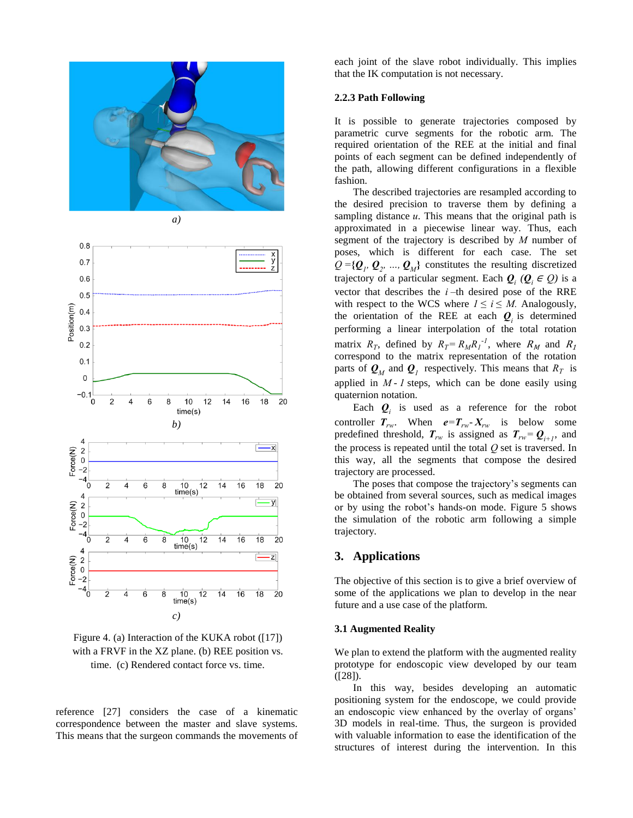



Figure 4. (a) Interaction of the KUKA robot ([17]) with a FRVF in the XZ plane. (b) REE position vs. time. (c) Rendered contact force vs. time.

reference [27] considers the case of a kinematic correspondence between the master and slave systems. This means that the surgeon commands the movements of each joint of the slave robot individually. This implies that the IK computation is not necessary.

### **2.2.3 Path Following**

It is possible to generate trajectories composed by parametric curve segments for the robotic arm. The required orientation of the REE at the initial and final points of each segment can be defined independently of the path, allowing different configurations in a flexible fashion.

 The described trajectories are resampled according to the desired precision to traverse them by defining a sampling distance  $u$ . This means that the original path is approximated in a piecewise linear way. Thus, each segment of the trajectory is described by  $M$  number of poses, which is different for each case. The set  $Q = \{Q_1, Q_2, ..., Q_M\}$  constitutes the resulting discretized trajectory of a particular segment. Each  $Q_i$  ( $Q_i \in Q$ ) is a vector that describes the  $i$ -th desired pose of the RRE with respect to the WCS where  $1 \le i \le M$ . Analogously, the orientation of the REE at each  $\mathbf{Q}_i$  is determined performing a linear interpolation of the total rotation matrix  $R_T$ , defined by  $R_T = R_M R_I^{-1}$ , where  $R_M$  and correspond to the matrix representation of the rotation parts of  $\mathbf{Q}_M$  and  $\mathbf{Q}_I$  respectively. This means that  $R_T$  is applied in  $M - I$  steps, which can be done easily using quaternion notation.

Each  $\mathbf{Q}_i$  is used as a reference for the robot controller  $T_{rw}$ . When  $e = T_{rw} \cdot X_{rw}$  is below some predefined threshold,  $T_{rw}$  is assigned as  $T_{rw} = Q_{i+1}$ , and the process is repeated until the total  $Q$  set is traversed. In this way, all the segments that compose the desired trajectory are processed.

 The poses that compose the trajectory's segments can be obtained from several sources, such as medical images or by using the robot's hands-on mode. Figure 5 shows the simulation of the robotic arm following a simple trajectory.

# **3. Applications**

The objective of this section is to give a brief overview of some of the applications we plan to develop in the near future and a use case of the platform.

#### **3.1 Augmented Reality**

We plan to extend the platform with the augmented reality prototype for endoscopic view developed by our team ([28]).

 In this way, besides developing an automatic positioning system for the endoscope, we could provide an endoscopic view enhanced by the overlay of organs' 3D models in real-time. Thus, the surgeon is provided with valuable information to ease the identification of the structures of interest during the intervention. In this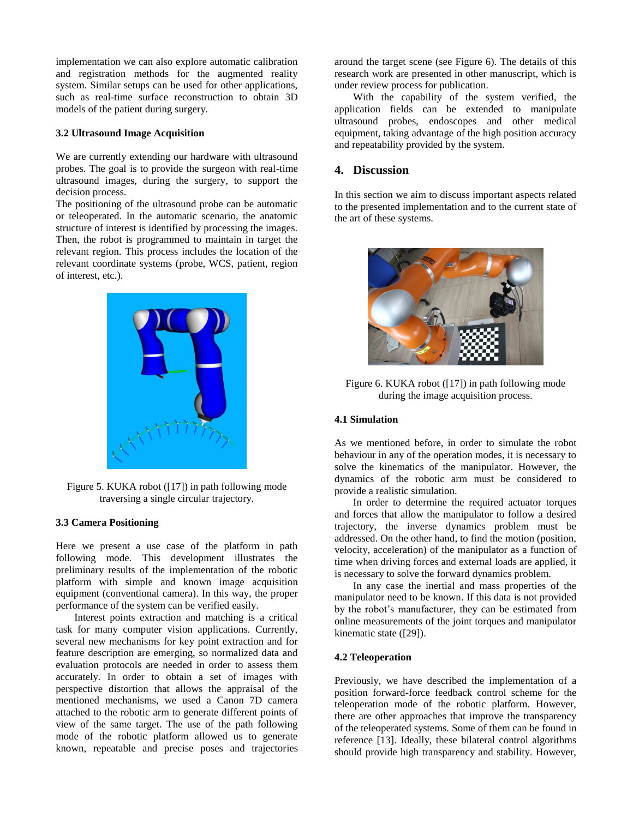implementation we can also explore automatic calibration and registration methods for the augmented reality system. Similar setups can be used for other applications, such as real-time surface reconstruction to obtain 3D models of the patient during surgery.

#### **3.2 Ultrasound Image Acquisition**

We are currently extending our hardware with ultrasound probes. The goal is to provide the surgeon with real-time ultrasound images, during the surgery, to support the decision process.

The positioning of the ultrasound probe can be automatic or teleoperated. In the automatic scenario, the anatomic structure of interest is identified by processing the images. Then, the robot is programmed to maintain in target the relevant region. This process includes the location of the relevant coordinate systems (probe, WCS, patient, region of interest, etc.).



Figure 5. KUKA robot ([17]) in path following mode traversing a single circular trajectory.

#### **3.3 Camera Positioning**

Here we present a use case of the platform in path following mode. This development illustrates the preliminary results of the implementation of the robotic platform with simple and known image acquisition equipment (conventional camera). In this way, the proper performance of the system can be verified easily.

 Interest points extraction and matching is a critical task for many computer vision applications. Currently, several new mechanisms for key point extraction and for feature description are emerging, so normalized data and evaluation protocols are needed in order to assess them accurately. In order to obtain a set of images with perspective distortion that allows the appraisal of the mentioned mechanisms, we used a Canon 7D camera attached to the robotic arm to generate different points of view of the same target. The use of the path following mode of the robotic platform allowed us to generate known, repeatable and precise poses and trajectories

around the target scene (see Figure 6). The details of this research work are presented in other manuscript, which is under review process for publication.

 With the capability of the system verified, the application fields can be extended to manipulate ultrasound probes, endoscopes and other medical equipment, taking advantage of the high position accuracy and repeatability provided by the system.

# **4. Discussion**

In this section we aim to discuss important aspects related to the presented implementation and to the current state of the art of these systems.



Figure 6. KUKA robot ([17]) in path following mode during the image acquisition process.

### **4.1 Simulation**

As we mentioned before, in order to simulate the robot behaviour in any of the operation modes, it is necessary to solve the kinematics of the manipulator. However, the dynamics of the robotic arm must be considered to provide a realistic simulation.

 In order to determine the required actuator torques and forces that allow the manipulator to follow a desired trajectory, the inverse dynamics problem must be addressed. On the other hand, to find the motion (position, velocity, acceleration) of the manipulator as a function of time when driving forces and external loads are applied, it is necessary to solve the forward dynamics problem.

 In any case the inertial and mass properties of the manipulator need to be known. If this data is not provided by the robot's manufacturer, they can be estimated from online measurements of the joint torques and manipulator kinematic state ([29]).

#### **4.2 Teleoperation**

Previously, we have described the implementation of a position forward-force feedback control scheme for the teleoperation mode of the robotic platform. However, there are other approaches that improve the transparency of the teleoperated systems. Some of them can be found in reference [13]. Ideally, these bilateral control algorithms should provide high transparency and stability. However,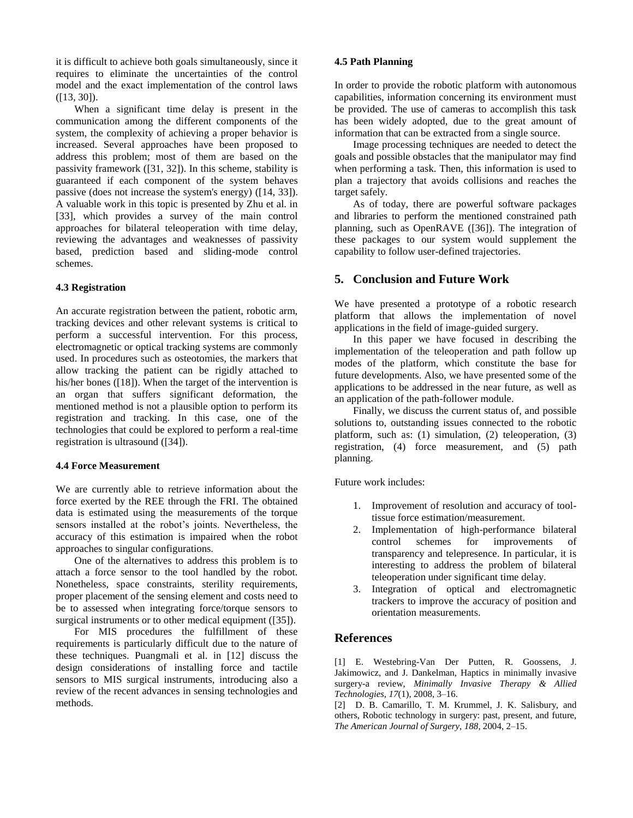it is difficult to achieve both goals simultaneously, since it requires to eliminate the uncertainties of the control model and the exact implementation of the control laws ([13, 30]).

When a significant time delay is present in the communication among the different components of the system, the complexity of achieving a proper behavior is increased. Several approaches have been proposed to address this problem; most of them are based on the passivity framework ([31, 32]). In this scheme, stability is guaranteed if each component of the system behaves passive (does not increase the system's energy) ([14, 33]). A valuable work in this topic is presented by Zhu et al. in [33], which provides a survey of the main control approaches for bilateral teleoperation with time delay, reviewing the advantages and weaknesses of passivity based, prediction based and sliding-mode control schemes.

### **4.3 Registration**

An accurate registration between the patient, robotic arm, tracking devices and other relevant systems is critical to perform a successful intervention. For this process, electromagnetic or optical tracking systems are commonly used. In procedures such as osteotomies, the markers that allow tracking the patient can be rigidly attached to his/her bones ([18]). When the target of the intervention is an organ that suffers significant deformation, the mentioned method is not a plausible option to perform its registration and tracking. In this case, one of the technologies that could be explored to perform a real-time registration is ultrasound ([34]).

# **4.4 Force Measurement**

We are currently able to retrieve information about the force exerted by the REE through the FRI. The obtained data is estimated using the measurements of the torque sensors installed at the robot's joints. Nevertheless, the accuracy of this estimation is impaired when the robot approaches to singular configurations.

 One of the alternatives to address this problem is to attach a force sensor to the tool handled by the robot. Nonetheless, space constraints, sterility requirements, proper placement of the sensing element and costs need to be to assessed when integrating force/torque sensors to surgical instruments or to other medical equipment ([35]).

 For MIS procedures the fulfillment of these requirements is particularly difficult due to the nature of these techniques. Puangmali et al. in [12] discuss the design considerations of installing force and tactile sensors to MIS surgical instruments, introducing also a review of the recent advances in sensing technologies and methods.

### **4.5 Path Planning**

In order to provide the robotic platform with autonomous capabilities, information concerning its environment must be provided. The use of cameras to accomplish this task has been widely adopted, due to the great amount of information that can be extracted from a single source.

 Image processing techniques are needed to detect the goals and possible obstacles that the manipulator may find when performing a task. Then, this information is used to plan a trajectory that avoids collisions and reaches the target safely.

 As of today, there are powerful software packages and libraries to perform the mentioned constrained path planning, such as OpenRAVE ([36]). The integration of these packages to our system would supplement the capability to follow user-defined trajectories.

# **5. Conclusion and Future Work**

We have presented a prototype of a robotic research platform that allows the implementation of novel applications in the field of image-guided surgery.

 In this paper we have focused in describing the implementation of the teleoperation and path follow up modes of the platform, which constitute the base for future developments. Also, we have presented some of the applications to be addressed in the near future, as well as an application of the path-follower module.

 Finally, we discuss the current status of, and possible solutions to, outstanding issues connected to the robotic platform, such as: (1) simulation, (2) teleoperation, (3) registration, (4) force measurement, and (5) path planning.

Future work includes:

- 1. Improvement of resolution and accuracy of tooltissue force estimation/measurement.
- 2. Implementation of high-performance bilateral control schemes for improvements of transparency and telepresence. In particular, it is interesting to address the problem of bilateral teleoperation under significant time delay.
- 3. Integration of optical and electromagnetic trackers to improve the accuracy of position and orientation measurements.

# **References**

[1] E. Westebring-Van Der Putten, R. Goossens, J. Jakimowicz, and J. Dankelman, Haptics in minimally invasive surgery-a review, *Minimally Invasive Therapy & Allied Technologies*, *17*(1), 2008, 3–16.

[2] D. B. Camarillo, T. M. Krummel, J. K. Salisbury, and others, Robotic technology in surgery: past, present, and future, *The American Journal of Surgery*, *188*, 2004, 2–15.